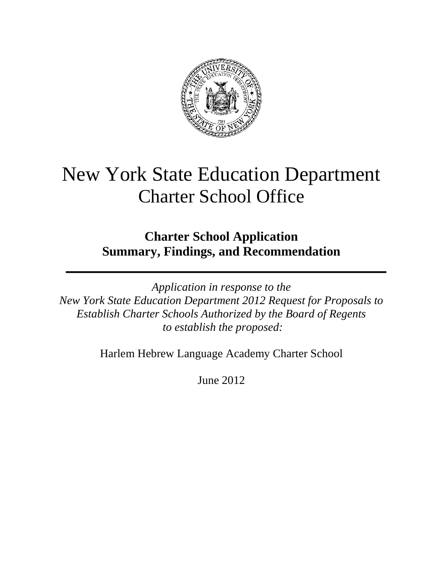

# New York State Education Department Charter School Office

**Charter School Application Summary, Findings, and Recommendation**

*Application in response to the New York State Education Department 2012 Request for Proposals to Establish Charter Schools Authorized by the Board of Regents to establish the proposed:*

Harlem Hebrew Language Academy Charter School

June 2012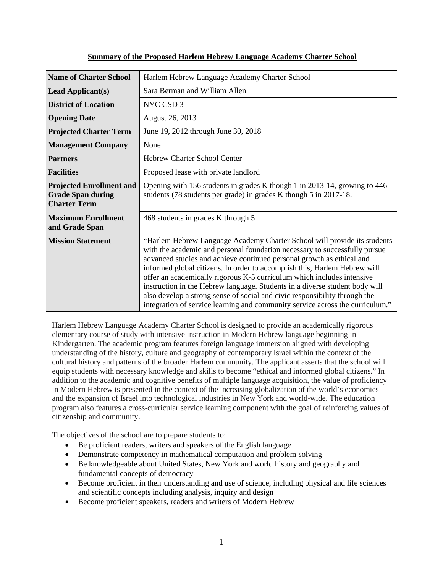| <b>Name of Charter School</b>                                                      | Harlem Hebrew Language Academy Charter School                                                                                                                                                                                                                                                                                                                                                                                                                                                                                                                                                                                        |  |  |  |
|------------------------------------------------------------------------------------|--------------------------------------------------------------------------------------------------------------------------------------------------------------------------------------------------------------------------------------------------------------------------------------------------------------------------------------------------------------------------------------------------------------------------------------------------------------------------------------------------------------------------------------------------------------------------------------------------------------------------------------|--|--|--|
| <b>Lead Applicant(s)</b>                                                           | Sara Berman and William Allen                                                                                                                                                                                                                                                                                                                                                                                                                                                                                                                                                                                                        |  |  |  |
| <b>District of Location</b>                                                        | NYC CSD 3                                                                                                                                                                                                                                                                                                                                                                                                                                                                                                                                                                                                                            |  |  |  |
| <b>Opening Date</b>                                                                | August 26, 2013                                                                                                                                                                                                                                                                                                                                                                                                                                                                                                                                                                                                                      |  |  |  |
| <b>Projected Charter Term</b>                                                      | June 19, 2012 through June 30, 2018                                                                                                                                                                                                                                                                                                                                                                                                                                                                                                                                                                                                  |  |  |  |
| <b>Management Company</b>                                                          | None                                                                                                                                                                                                                                                                                                                                                                                                                                                                                                                                                                                                                                 |  |  |  |
| <b>Partners</b>                                                                    | Hebrew Charter School Center                                                                                                                                                                                                                                                                                                                                                                                                                                                                                                                                                                                                         |  |  |  |
| <b>Facilities</b>                                                                  | Proposed lease with private landlord                                                                                                                                                                                                                                                                                                                                                                                                                                                                                                                                                                                                 |  |  |  |
| <b>Projected Enrollment and</b><br><b>Grade Span during</b><br><b>Charter Term</b> | Opening with 156 students in grades K though 1 in 2013-14, growing to 446<br>students (78 students per grade) in grades K though 5 in 2017-18.                                                                                                                                                                                                                                                                                                                                                                                                                                                                                       |  |  |  |
| <b>Maximum Enrollment</b><br>and Grade Span                                        | 468 students in grades K through 5                                                                                                                                                                                                                                                                                                                                                                                                                                                                                                                                                                                                   |  |  |  |
| <b>Mission Statement</b>                                                           | "Harlem Hebrew Language Academy Charter School will provide its students<br>with the academic and personal foundation necessary to successfully pursue<br>advanced studies and achieve continued personal growth as ethical and<br>informed global citizens. In order to accomplish this, Harlem Hebrew will<br>offer an academically rigorous K-5 curriculum which includes intensive<br>instruction in the Hebrew language. Students in a diverse student body will<br>also develop a strong sense of social and civic responsibility through the<br>integration of service learning and community service across the curriculum." |  |  |  |

## **Summary of the Proposed Harlem Hebrew Language Academy Charter School**

Harlem Hebrew Language Academy Charter School is designed to provide an academically rigorous elementary course of study with intensive instruction in Modern Hebrew language beginning in Kindergarten. The academic program features foreign language immersion aligned with developing understanding of the history, culture and geography of contemporary Israel within the context of the cultural history and patterns of the broader Harlem community. The applicant asserts that the school will equip students with necessary knowledge and skills to become "ethical and informed global citizens." In addition to the academic and cognitive benefits of multiple language acquisition, the value of proficiency in Modern Hebrew is presented in the context of the increasing globalization of the world's economies and the expansion of Israel into technological industries in New York and world-wide. The education program also features a cross-curricular service learning component with the goal of reinforcing values of citizenship and community.

The objectives of the school are to prepare students to:

- Be proficient readers, writers and speakers of the English language
- Demonstrate competency in mathematical computation and problem-solving
- Be knowledgeable about United States, New York and world history and geography and fundamental concepts of democracy
- Become proficient in their understanding and use of science, including physical and life sciences and scientific concepts including analysis, inquiry and design
- Become proficient speakers, readers and writers of Modern Hebrew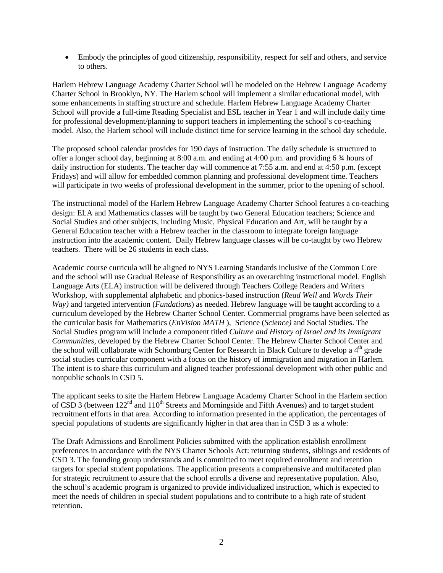• Embody the principles of good citizenship, responsibility, respect for self and others, and service to others.

Harlem Hebrew Language Academy Charter School will be modeled on the Hebrew Language Academy Charter School in Brooklyn, NY. The Harlem school will implement a similar educational model, with some enhancements in staffing structure and schedule. Harlem Hebrew Language Academy Charter School will provide a full-time Reading Specialist and ESL teacher in Year 1 and will include daily time for professional development/planning to support teachers in implementing the school's co-teaching model. Also, the Harlem school will include distinct time for service learning in the school day schedule.

The proposed school calendar provides for 190 days of instruction. The daily schedule is structured to offer a longer school day, beginning at 8:00 a.m. and ending at 4:00 p.m. and providing 6 ¾ hours of daily instruction for students. The teacher day will commence at 7:55 a.m. and end at 4:50 p.m. (except Fridays) and will allow for embedded common planning and professional development time. Teachers will participate in two weeks of professional development in the summer, prior to the opening of school.

The instructional model of the Harlem Hebrew Language Academy Charter School features a co-teaching design: ELA and Mathematics classes will be taught by two General Education teachers; Science and Social Studies and other subjects, including Music, Physical Education and Art, will be taught by a General Education teacher with a Hebrew teacher in the classroom to integrate foreign language instruction into the academic content. Daily Hebrew language classes will be co-taught by two Hebrew teachers. There will be 26 students in each class.

Academic course curricula will be aligned to NYS Learning Standards inclusive of the Common Core and the school will use Gradual Release of Responsibility as an overarching instructional model. English Language Arts (ELA) instruction will be delivered through Teachers College Readers and Writers Workshop, with supplemental alphabetic and phonics-based instruction (*Read Well* and *Words Their Way)* and targeted intervention (*Fundations*) as needed. Hebrew language will be taught according to a curriculum developed by the Hebrew Charter School Center. Commercial programs have been selected as the curricular basis for Mathematics (*EnVision MATH* ), Science (*Science)* and Social Studies. The Social Studies program will include a component titled *Culture and History of Israel and its Immigrant Communities,* developed by the Hebrew Charter School Center. The Hebrew Charter School Center and the school will collaborate with Schomburg Center for Research in Black Culture to develop a 4<sup>th</sup> grade social studies curricular component with a focus on the history of immigration and migration in Harlem. The intent is to share this curriculum and aligned teacher professional development with other public and nonpublic schools in CSD 5.

The applicant seeks to site the Harlem Hebrew Language Academy Charter School in the Harlem section of CSD 3 (between 122<sup>nd</sup> and 110<sup>th</sup> Streets and Morningside and Fifth Avenues) and to target student recruitment efforts in that area. According to information presented in the application, the percentages of special populations of students are significantly higher in that area than in CSD 3 as a whole:

The Draft Admissions and Enrollment Policies submitted with the application establish enrollment preferences in accordance with the NYS Charter Schools Act: returning students, siblings and residents of CSD 3. The founding group understands and is committed to meet required enrollment and retention targets for special student populations. The application presents a comprehensive and multifaceted plan for strategic recruitment to assure that the school enrolls a diverse and representative population. Also, the school's academic program is organized to provide individualized instruction, which is expected to meet the needs of children in special student populations and to contribute to a high rate of student retention.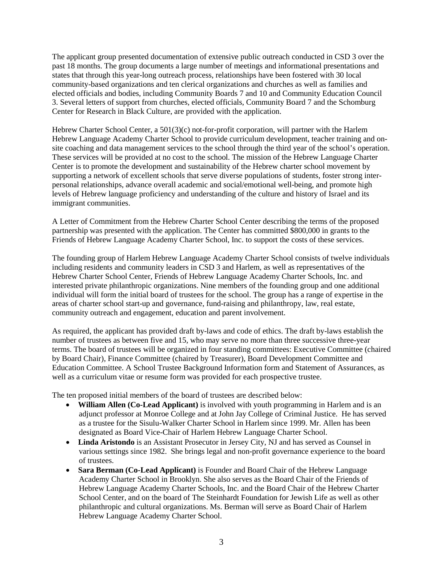The applicant group presented documentation of extensive public outreach conducted in CSD 3 over the past 18 months. The group documents a large number of meetings and informational presentations and states that through this year-long outreach process, relationships have been fostered with 30 local community-based organizations and ten clerical organizations and churches as well as families and elected officials and bodies, including Community Boards 7 and 10 and Community Education Council 3. Several letters of support from churches, elected officials, Community Board 7 and the Schomburg Center for Research in Black Culture, are provided with the application.

Hebrew Charter School Center, a 501(3)(c) not-for-profit corporation, will partner with the Harlem Hebrew Language Academy Charter School to provide curriculum development, teacher training and onsite coaching and data management services to the school through the third year of the school's operation. These services will be provided at no cost to the school. The mission of the Hebrew Language Charter Center is to promote the development and sustainability of the Hebrew charter school movement by supporting a network of excellent schools that serve diverse populations of students, foster strong interpersonal relationships, advance overall academic and social/emotional well-being, and promote high levels of Hebrew language proficiency and understanding of the culture and history of Israel and its immigrant communities.

A Letter of Commitment from the Hebrew Charter School Center describing the terms of the proposed partnership was presented with the application. The Center has committed \$800,000 in grants to the Friends of Hebrew Language Academy Charter School, Inc. to support the costs of these services.

The founding group of Harlem Hebrew Language Academy Charter School consists of twelve individuals including residents and community leaders in CSD 3 and Harlem, as well as representatives of the Hebrew Charter School Center, Friends of Hebrew Language Academy Charter Schools, Inc. and interested private philanthropic organizations. Nine members of the founding group and one additional individual will form the initial board of trustees for the school. The group has a range of expertise in the areas of charter school start-up and governance, fund-raising and philanthropy, law, real estate, community outreach and engagement, education and parent involvement.

As required, the applicant has provided draft by-laws and code of ethics. The draft by-laws establish the number of trustees as between five and 15, who may serve no more than three successive three-year terms. The board of trustees will be organized in four standing committees: Executive Committee (chaired by Board Chair), Finance Committee (chaired by Treasurer), Board Development Committee and Education Committee. A School Trustee Background Information form and Statement of Assurances, as well as a curriculum vitae or resume form was provided for each prospective trustee.

The ten proposed initial members of the board of trustees are described below:

- **William Allen (Co-Lead Applicant)** is involved with youth programming in Harlem and is an adjunct professor at Monroe College and at John Jay College of Criminal Justice. He has served as a trustee for the Sisulu-Walker Charter School in Harlem since 1999. Mr. Allen has been designated as Board Vice-Chair of Harlem Hebrew Language Charter School.
- **Linda Aristondo** is an Assistant Prosecutor in Jersey City, NJ and has served as Counsel in various settings since 1982. She brings legal and non-profit governance experience to the board of trustees.
- **Sara Berman (Co-Lead Applicant)** is Founder and Board Chair of the Hebrew Language Academy Charter School in Brooklyn. She also serves as the Board Chair of the Friends of Hebrew Language Academy Charter Schools, Inc. and the Board Chair of the Hebrew Charter School Center, and on the board of The Steinhardt Foundation for Jewish Life as well as other philanthropic and cultural organizations. Ms. Berman will serve as Board Chair of Harlem Hebrew Language Academy Charter School.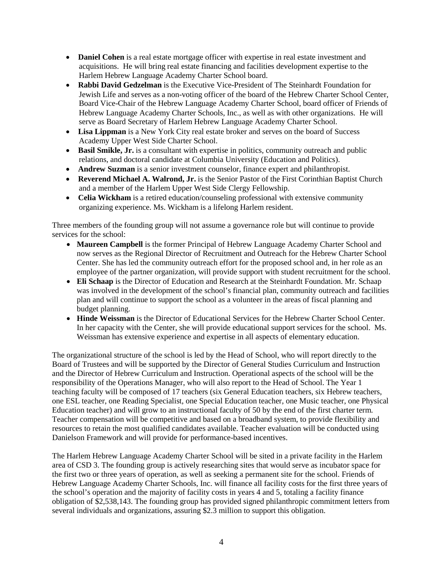- **Daniel Cohen** is a real estate mortgage officer with expertise in real estate investment and acquisitions. He will bring real estate financing and facilities development expertise to the Harlem Hebrew Language Academy Charter School board.
- **Rabbi David Gedzelman** is the Executive Vice-President of The Steinhardt Foundation for Jewish Life and serves as a non-voting officer of the board of the Hebrew Charter School Center, Board Vice-Chair of the Hebrew Language Academy Charter School, board officer of Friends of Hebrew Language Academy Charter Schools, Inc., as well as with other organizations. He will serve as Board Secretary of Harlem Hebrew Language Academy Charter School.
- Lisa Lippman is a New York City real estate broker and serves on the board of Success Academy Upper West Side Charter School.
- **Basil Smikle, Jr.** is a consultant with expertise in politics, community outreach and public relations, and doctoral candidate at Columbia University (Education and Politics).
- **Andrew Suzman** is a senior investment counselor, finance expert and philanthropist.
- **Reverend Michael A. Walrond, Jr.** is the Senior Pastor of the First Corinthian Baptist Church and a member of the Harlem Upper West Side Clergy Fellowship.
- **Celia Wickham** is a retired education/counseling professional with extensive community organizing experience. Ms. Wickham is a lifelong Harlem resident.

Three members of the founding group will not assume a governance role but will continue to provide services for the school:

- **Maureen Campbell** is the former Principal of Hebrew Language Academy Charter School and now serves as the Regional Director of Recruitment and Outreach for the Hebrew Charter School Center. She has led the community outreach effort for the proposed school and, in her role as an employee of the partner organization, will provide support with student recruitment for the school.
- **Eli Schaap** is the Director of Education and Research at the Steinhardt Foundation. Mr. Schaap was involved in the development of the school's financial plan, community outreach and facilities plan and will continue to support the school as a volunteer in the areas of fiscal planning and budget planning.
- **Hinde Weissman** is the Director of Educational Services for the Hebrew Charter School Center. In her capacity with the Center, she will provide educational support services for the school. Ms. Weissman has extensive experience and expertise in all aspects of elementary education.

The organizational structure of the school is led by the Head of School, who will report directly to the Board of Trustees and will be supported by the Director of General Studies Curriculum and Instruction and the Director of Hebrew Curriculum and Instruction. Operational aspects of the school will be the responsibility of the Operations Manager, who will also report to the Head of School. The Year 1 teaching faculty will be composed of 17 teachers (six General Education teachers, six Hebrew teachers, one ESL teacher, one Reading Specialist, one Special Education teacher, one Music teacher, one Physical Education teacher) and will grow to an instructional faculty of 50 by the end of the first charter term. Teacher compensation will be competitive and based on a broadband system, to provide flexibility and resources to retain the most qualified candidates available. Teacher evaluation will be conducted using Danielson Framework and will provide for performance-based incentives.

The Harlem Hebrew Language Academy Charter School will be sited in a private facility in the Harlem area of CSD 3. The founding group is actively researching sites that would serve as incubator space for the first two or three years of operation, as well as seeking a permanent site for the school. Friends of Hebrew Language Academy Charter Schools, Inc. will finance all facility costs for the first three years of the school's operation and the majority of facility costs in years 4 and 5, totaling a facility finance obligation of \$2,538,143. The founding group has provided signed philanthropic commitment letters from several individuals and organizations, assuring \$2.3 million to support this obligation.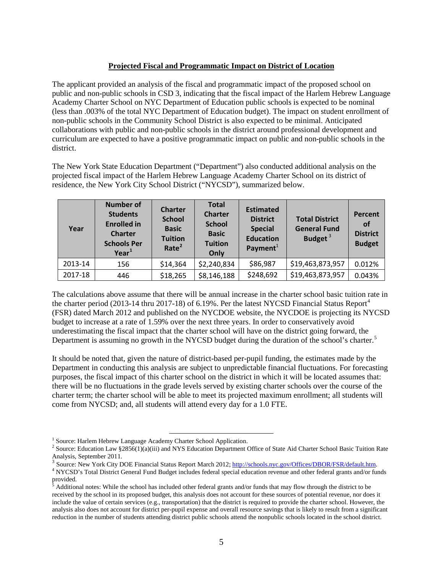## **Projected Fiscal and Programmatic Impact on District of Location**

The applicant provided an analysis of the fiscal and programmatic impact of the proposed school on public and non-public schools in CSD 3, indicating that the fiscal impact of the Harlem Hebrew Language Academy Charter School on NYC Department of Education public schools is expected to be nominal (less than .003% of the total NYC Department of Education budget). The impact on student enrollment of non-public schools in the Community School District is also expected to be minimal. Anticipated collaborations with public and non-public schools in the district around professional development and curriculum are expected to have a positive programmatic impact on public and non-public schools in the district.

The New York State Education Department ("Department") also conducted additional analysis on the projected fiscal impact of the Harlem Hebrew Language Academy Charter School on its district of residence, the New York City School District ("NYCSD"), summarized below.

| Year    | <b>Number of</b><br><b>Students</b><br><b>Enrolled in</b><br><b>Charter</b><br><b>Schools Per</b><br>$Year^1$ | <b>Charter</b><br><b>School</b><br><b>Basic</b><br><b>Tuition</b><br>Rate <sup>2</sup> | <b>Total</b><br><b>Charter</b><br><b>School</b><br><b>Basic</b><br><b>Tuition</b><br>Only | <b>Estimated</b><br><b>District</b><br><b>Special</b><br><b>Education</b><br>Payment $1$ | <b>Total District</b><br><b>General Fund</b><br>Budget $3$ | <b>Percent</b><br><b>of</b><br><b>District</b><br><b>Budget</b> |
|---------|---------------------------------------------------------------------------------------------------------------|----------------------------------------------------------------------------------------|-------------------------------------------------------------------------------------------|------------------------------------------------------------------------------------------|------------------------------------------------------------|-----------------------------------------------------------------|
| 2013-14 | 156                                                                                                           | \$14,364                                                                               | \$2,240,834                                                                               | \$86,987                                                                                 | \$19,463,873,957                                           | 0.012%                                                          |
| 2017-18 | 446                                                                                                           | \$18,265                                                                               | \$8,146,188                                                                               | \$248,692                                                                                | \$19,463,873,957                                           | 0.043%                                                          |

The calculations above assume that there will be annual increase in the charter school basic tuition rate in the charter period (2013-1[4](#page-5-3) thru 2017-18) of 6.19%. Per the latest NYCSD Financial Status Report<sup>4</sup> (FSR) dated March 2012 and published on the NYCDOE website, the NYCDOE is projecting its NYCSD budget to increase at a rate of 1.59% over the next three years. In order to conservatively avoid underestimating the fiscal impact that the charter school will have on the district going forward, the Department is assuming no growth in the NYCSD budget during the duration of the school's charter.<sup>[5](#page-5-4)</sup>

It should be noted that, given the nature of district-based per-pupil funding, the estimates made by the Department in conducting this analysis are subject to unpredictable financial fluctuations. For forecasting purposes, the fiscal impact of this charter school on the district in which it will be located assumes that: there will be no fluctuations in the grade levels served by existing charter schools over the course of the charter term; the charter school will be able to meet its projected maximum enrollment; all students will come from NYCSD; and, all students will attend every day for a 1.0 FTE.

l

<span id="page-5-0"></span><sup>&</sup>lt;sup>1</sup> Source: Harlem Hebrew Language Academy Charter School Application.<br><sup>2</sup> Source: Education Law §2856(1)(a)(iii) and NYS Education Department Office of State Aid Charter School Basic Tuition Rate

<span id="page-5-3"></span>

<span id="page-5-2"></span><span id="page-5-1"></span>Analysis, September 2011.<br><sup>3</sup> Source: New York City DOE Financial Status Report March 2012; http://schools.nyc.gov/Offices/DBOR/FSR/default.htm.<br><sup>4</sup> NYCSD's Total District General Fund Budget includes federal special educa provided.

<span id="page-5-4"></span><sup>5</sup> Additional notes: While the school has included other federal grants and/or funds that may flow through the district to be received by the school in its proposed budget, this analysis does not account for these sources of potential revenue, nor does it include the value of certain services (e.g., transportation) that the district is required to provide the charter school. However, the analysis also does not account for district per-pupil expense and overall resource savings that is likely to result from a significant reduction in the number of students attending district public schools attend the nonpublic schools located in the school district.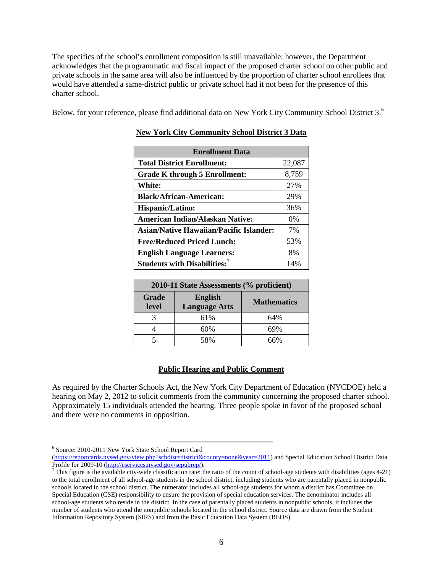The specifics of the school's enrollment composition is still unavailable; however, the Department acknowledges that the programmatic and fiscal impact of the proposed charter school on other public and private schools in the same area will also be influenced by the proportion of charter school enrollees that would have attended a same-district public or private school had it not been for the presence of this charter school.

Below, for your reference, please find additional data on New York City Community School District 3.<sup>[6](#page-6-0)</sup>

| <b>Enrollment Data</b>                         |        |  |  |  |
|------------------------------------------------|--------|--|--|--|
| <b>Total District Enrollment:</b>              | 22,087 |  |  |  |
| Grade K through 5 Enrollment:                  | 8,759  |  |  |  |
| <b>White:</b>                                  | 27%    |  |  |  |
| <b>Black/African-American:</b>                 | 29%    |  |  |  |
| <b>Hispanic/Latino:</b>                        | 36%    |  |  |  |
| American Indian/Alaskan Native:                | $0\%$  |  |  |  |
| <b>Asian/Native Hawaiian/Pacific Islander:</b> | 7%     |  |  |  |
| <b>Free/Reduced Priced Lunch:</b>              | 53%    |  |  |  |
| <b>English Language Learners:</b>              | 8%     |  |  |  |
| Students with Disabilities: <sup>7</sup>       | 14%    |  |  |  |

| 2010-11 State Assessments (% proficient) |                                        |                    |  |  |  |
|------------------------------------------|----------------------------------------|--------------------|--|--|--|
| Grade<br>level                           | <b>English</b><br><b>Language Arts</b> | <b>Mathematics</b> |  |  |  |
|                                          | 61%                                    | 64%                |  |  |  |
|                                          | 60%                                    | 69%                |  |  |  |
|                                          | 58%                                    | 66%                |  |  |  |

### **Public Hearing and Public Comment**

As required by the Charter Schools Act, the New York City Department of Education (NYCDOE) held a hearing on May 2, 2012 to solicit comments from the community concerning the proposed charter school. Approximately 15 individuals attended the hearing. Three people spoke in favor of the proposed school and there were no comments in opposition.

l

<span id="page-6-0"></span><sup>6</sup> Source: 2010-2011 New York State School Report Card

[<sup>\(</sup>https://reportcards.nysed.gov/view.php?schdist=district&county=none&year=2011\)](https://reportcards.nysed.gov/view.php?schdist=district&county=none&year=2011) and Special Education School District Data<br>Profile for 2009-10 (http://eservices.nysed.gov/sepubrep/).

<span id="page-6-1"></span><sup>&</sup>lt;sup>7</sup> This figure is the available city-wide classification rate: the ratio of the count of school-age students with disabilities (ages 4-21) to the total enrollment of all school-age students in the school district, including students who are parentally placed in nonpublic schools located in the school district. The numerator includes all school-age students for whom a district has Committee on Special Education (CSE) responsibility to ensure the provision of special education services. The denominator includes all school-age students who reside in the district. In the case of parentally placed students in nonpublic schools, it includes the number of students who attend the nonpublic schools located in the school district. Source data are drawn from the Student Information Repository System (SIRS) and from the Basic Education Data System (BEDS).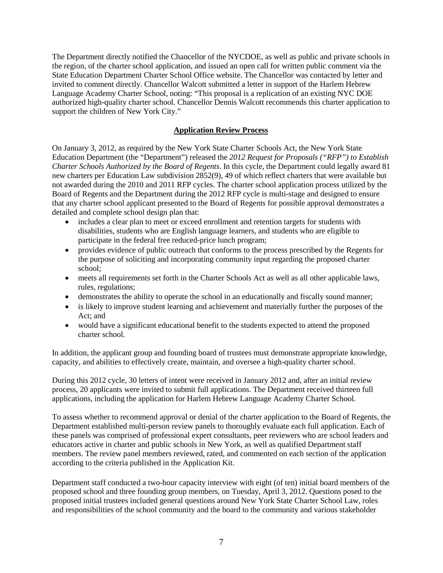The Department directly notified the Chancellor of the NYCDOE, as well as public and private schools in the region, of the charter school application, and issued an open call for written public comment via the State Education Department Charter School Office website. The Chancellor was contacted by letter and invited to comment directly. Chancellor Walcott submitted a letter in support of the Harlem Hebrew Language Academy Charter School, noting: "This proposal is a replication of an existing NYC DOE authorized high-quality charter school. Chancellor Dennis Walcott recommends this charter application to support the children of New York City."

## **Application Review Process**

On January 3, 2012, as required by the New York State Charter Schools Act, the New York State Education Department (the "Department") released the *2012 Request for Proposals ("RFP") to Establish Charter Schools Authorized by the Board of Regents*. In this cycle, the Department could legally award 81 new charters per Education Law subdivision 2852(9), 49 of which reflect charters that were available but not awarded during the 2010 and 2011 RFP cycles. The charter school application process utilized by the Board of Regents and the Department during the 2012 RFP cycle is multi-stage and designed to ensure that any charter school applicant presented to the Board of Regents for possible approval demonstrates a detailed and complete school design plan that:

- includes a clear plan to meet or exceed enrollment and retention targets for students with disabilities, students who are English language learners, and students who are eligible to participate in the federal free reduced-price lunch program;
- provides evidence of public outreach that conforms to the process prescribed by the Regents for the purpose of soliciting and incorporating community input regarding the proposed charter school;
- meets all requirements set forth in the Charter Schools Act as well as all other applicable laws, rules, regulations;
- demonstrates the ability to operate the school in an educationally and fiscally sound manner;
- is likely to improve student learning and achievement and materially further the purposes of the Act; and
- would have a significant educational benefit to the students expected to attend the proposed charter school.

In addition, the applicant group and founding board of trustees must demonstrate appropriate knowledge, capacity, and abilities to effectively create, maintain, and oversee a high-quality charter school.

During this 2012 cycle, 30 letters of intent were received in January 2012 and, after an initial review process, 20 applicants were invited to submit full applications. The Department received thirteen full applications, including the application for Harlem Hebrew Language Academy Charter School.

To assess whether to recommend approval or denial of the charter application to the Board of Regents, the Department established multi-person review panels to thoroughly evaluate each full application. Each of these panels was comprised of professional expert consultants, peer reviewers who are school leaders and educators active in charter and public schools in New York, as well as qualified Department staff members. The review panel members reviewed, rated, and commented on each section of the application according to the criteria published in the Application Kit.

Department staff conducted a two-hour capacity interview with eight (of ten) initial board members of the proposed school and three founding group members, on Tuesday, April 3, 2012. Questions posed to the proposed initial trustees included general questions around New York State Charter School Law, roles and responsibilities of the school community and the board to the community and various stakeholder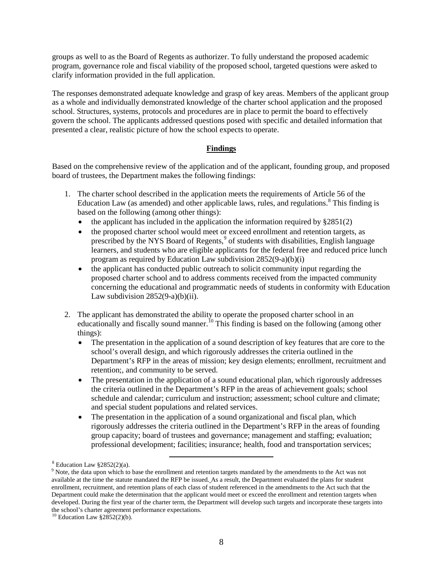groups as well to as the Board of Regents as authorizer. To fully understand the proposed academic program, governance role and fiscal viability of the proposed school, targeted questions were asked to clarify information provided in the full application.

The responses demonstrated adequate knowledge and grasp of key areas. Members of the applicant group as a whole and individually demonstrated knowledge of the charter school application and the proposed school. Structures, systems, protocols and procedures are in place to permit the board to effectively govern the school. The applicants addressed questions posed with specific and detailed information that presented a clear, realistic picture of how the school expects to operate.

## **Findings**

Based on the comprehensive review of the application and of the applicant, founding group, and proposed board of trustees, the Department makes the following findings:

- 1. The charter school described in the application meets the requirements of Article 56 of the Education Law (as amended) and other applicable laws, rules, and regulations.<sup>[8](#page-8-0)</sup> This finding is based on the following (among other things):
	- the applicant has included in the application the information required by  $\S 2851(2)$
	- the proposed charter school would meet or exceed enrollment and retention targets, as prescribed by the NYS Board of Regents,<sup>[9](#page-8-1)</sup> of students with disabilities, English language learners, and students who are eligible applicants for the federal free and reduced price lunch program as required by Education Law subdivision 2852(9-a)(b)(i)
	- the applicant has conducted public outreach to solicit community input regarding the proposed charter school and to address comments received from the impacted community concerning the educational and programmatic needs of students in conformity with Education Law subdivision  $2852(9-a)(b)(ii)$ .
- 2. The applicant has demonstrated the ability to operate the proposed charter school in an educationally and fiscally sound manner.<sup>[10](#page-8-2)</sup> This finding is based on the following (among other things):
	- The presentation in the application of a sound description of key features that are core to the school's overall design, and which rigorously addresses the criteria outlined in the Department's RFP in the areas of mission; key design elements; enrollment, recruitment and retention;, and community to be served.
	- The presentation in the application of a sound educational plan, which rigorously addresses the criteria outlined in the Department's RFP in the areas of achievement goals; school schedule and calendar; curriculum and instruction; assessment; school culture and climate; and special student populations and related services.
	- The presentation in the application of a sound organizational and fiscal plan, which rigorously addresses the criteria outlined in the Department's RFP in the areas of founding group capacity; board of trustees and governance; management and staffing; evaluation; professional development; facilities; insurance; health, food and transportation services;

l

 $8$  Education Law  $§2852(2)(a)$ .

<span id="page-8-1"></span><span id="page-8-0"></span><sup>&</sup>lt;sup>9</sup> Note, the data upon which to base the enrollment and retention targets mandated by the amendments to the Act was not available at the time the statute mandated the RFP be issued. As a result, the Department evaluated the plans for student enrollment, recruitment, and retention plans of each class of student referenced in the amendments to the Act such that the Department could make the determination that the applicant would meet or exceed the enrollment and retention targets when developed. During the first year of the charter term, the Department will develop such targets and incorporate these targets into the school's charter agreement performance expectations.

<span id="page-8-2"></span> $10$  Education Law §2852(2)(b).